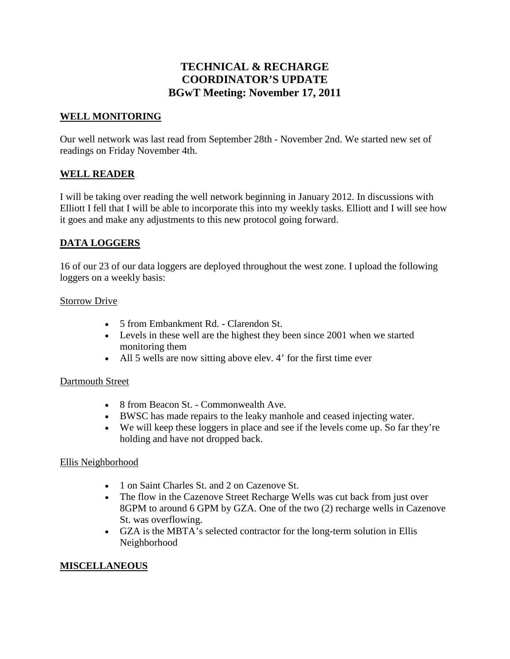# **TECHNICAL & RECHARGE COORDINATOR'S UPDATE BGwT Meeting: November 17, 2011**

## **WELL MONITORING**

Our well network was last read from September 28th - November 2nd. We started new set of readings on Friday November 4th.

### **WELL READER**

I will be taking over reading the well network beginning in January 2012. In discussions with Elliott I fell that I will be able to incorporate this into my weekly tasks. Elliott and I will see how it goes and make any adjustments to this new protocol going forward.

## **DATA LOGGERS**

16 of our 23 of our data loggers are deployed throughout the west zone. I upload the following loggers on a weekly basis:

#### Storrow Drive

- 5 from Embankment Rd. Clarendon St.
- Levels in these well are the highest they been since 2001 when we started monitoring them
- All 5 wells are now sitting above elev. 4' for the first time ever

#### Dartmouth Street

- 8 from Beacon St. Commonwealth Ave.
- BWSC has made repairs to the leaky manhole and ceased injecting water.
- We will keep these loggers in place and see if the levels come up. So far they're holding and have not dropped back.

#### Ellis Neighborhood

- 1 on Saint Charles St. and 2 on Cazenove St.
- The flow in the Cazenove Street Recharge Wells was cut back from just over 8GPM to around 6 GPM by GZA. One of the two (2) recharge wells in Cazenove St. was overflowing.
- GZA is the MBTA's selected contractor for the long-term solution in Ellis Neighborhood

#### **MISCELLANEOUS**